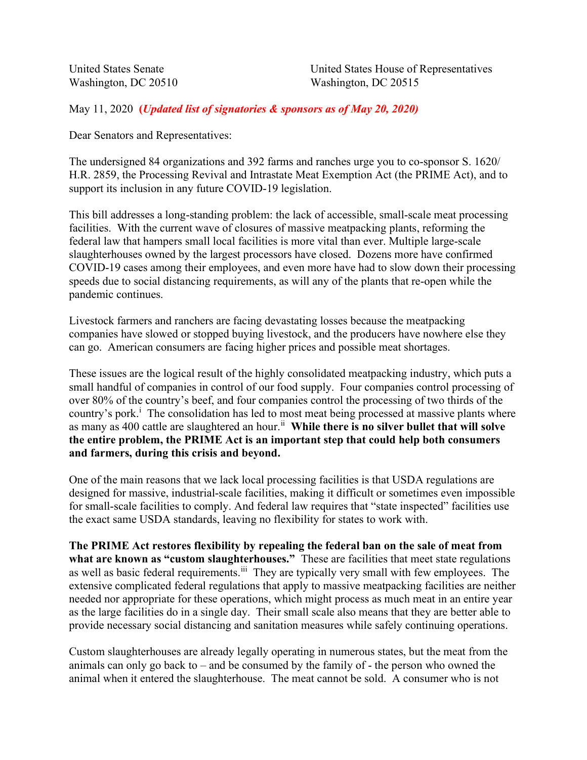May 11, 2020 (*Updated list of signatories & sponsors as of May 20, 2020*)

Dear Senators and Representatives:

The undersigned 84 organizations and 392 farms and ranches urge you to co-sponsor S. 1620/ H.R. 2859, the Processing Revival and Intrastate Meat Exemption Act (the PRIME Act), and to support its inclusion in any future COVID-19 legislation.

This bill addresses a long-standing problem: the lack of accessible, small-scale meat processing facilities. With the current wave of closures of massive meatpacking plants, reforming the federal law that hampers small local facilities is more vital than ever. Multiple large-scale slaughterhouses owned by the largest processors have closed. Dozens more have confirmed COVID-19 cases among their employees, and even more have had to slow down their processing speeds due to social distancing requirements, as will any of the plants that re-open while the pandemic continues.

Livestock farmers and ranchers are facing devastating losses because the meatpacking companies have slowed or stopped buying livestock, and the producers have nowhere else they can go. American consumers are facing higher prices and possible meat shortages.

These issues are the logical result of the highly consolidated meatpacking industry, which puts a small handful of companies in control of our food supply. Four companies control processing of over 80% of the country's beef, and four companies control the processing of two thirds of the country's pork.<sup>i</sup> The consolidation has led to most meat being processed at massive plants where as many as 400 cattle are slaughtered an hour.<sup>ii</sup> While there is no silver bullet that will solve the entire problem, the PRIME Act is an important step that could help both consumers and farmers, during this crisis and beyond.

One of the main reasons that we lack local processing facilities is that USDA regulations are designed for massive, industrial-scale facilities, making it difficult or sometimes even impossible for small-scale facilities to comply. And federal law requires that "state inspected" facilities use the exact same USDA standards, leaving no flexibility for states to work with.

The PRIME Act restores flexibility by repealing the federal ban on the sale of meat from what are known as "custom slaughterhouses." These are facilities that meet state regulations as well as basic federal requirements.<sup>iii</sup> They are typically very small with few employees. The extensive complicated federal regulations that apply to massive meatpacking facilities are neither needed nor appropriate for these operations, which might process as much meat in an entire year as the large facilities do in a single day. Their small scale also means that they are better able to provide necessary social distancing and sanitation measures while safely continuing operations.

Custom slaughterhouses are already legally operating in numerous states, but the meat from the animals can only go back to – and be consumed by the family of - the person who owned the animal when it entered the slaughterhouse. The meat cannot be sold. A consumer who is not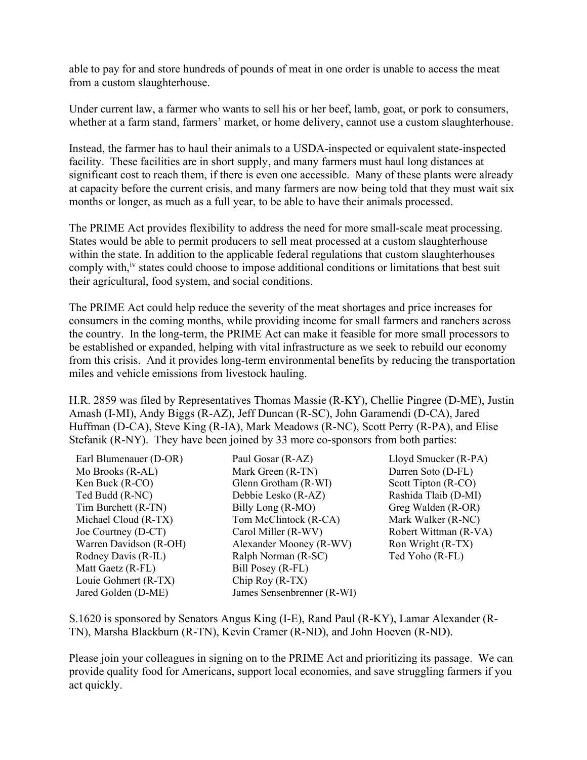able to pay for and store hundreds of pounds of meat in one order is unable to access the meat from a custom slaughterhouse.

Under current law, a farmer who wants to sell his or her beef, lamb, goat, or pork to consumers, whether at a farm stand, farmers' market, or home delivery, cannot use a custom slaughterhouse.

Instead, the farmer has to haul their animals to a USDA-inspected or equivalent state-inspected facility. These facilities are in short supply, and many farmers must haul long distances at significant cost to reach them, if there is even one accessible. Many of these plants were already at capacity before the current crisis, and many farmers are now being told that they must wait six months or longer, as much as a full year, to be able to have their animals processed.

The PRIME Act provides flexibility to address the need for more small-scale meat processing. States would be able to permit producers to sell meat processed at a custom slaughterhouse within the state. In addition to the applicable federal regulations that custom slaughterhouses comply with,<sup>iv</sup> states could choose to impose additional conditions or limitations that best suit their agricultural, food system, and social conditions.

The PRIME Act could help reduce the severity of the meat shortages and price increases for consumers in the coming months, while providing income for small farmers and ranchers across the country. In the long-term, the PRIME Act can make it feasible for more small processors to be established or expanded, helping with vital infrastructure as we seek to rebuild our economy from this crisis. And it provides long-term environmental benefits by reducing the transportation miles and vehicle emissions from livestock hauling.

H.R. 2859 was filed by Representatives Thomas Massie (R-KY), Chellie Pingree (D-ME), Justin Amash (I-MI), Andy Biggs (R-AZ), Jeff Duncan (R-SC), John Garamendi (D-CA), Jared Huffman (D-CA), Steve King (R-IA), Mark Meadows (R-NC), Scott Perry (R-PA), and Elise Stefanik (R-NY). They have been joined by 33 more co-sponsors from both parties:

| Earl Blumenauer (D-OR) | Paul Gosar (R-AZ)          | Lloyd Smucker (R-PA)  |
|------------------------|----------------------------|-----------------------|
| Mo Brooks (R-AL)       | Mark Green (R-TN)          | Darren Soto (D-FL)    |
| Ken Buck (R-CO)        | Glenn Grotham (R-WI)       | Scott Tipton (R-CO)   |
| Ted Budd (R-NC)        | Debbie Lesko (R-AZ)        | Rashida Tlaib (D-MI)  |
| Tim Burchett (R-TN)    | Billy Long (R-MO)          | Greg Walden (R-OR)    |
| Michael Cloud (R-TX)   | Tom McClintock (R-CA)      | Mark Walker (R-NC)    |
| Joe Courtney (D-CT)    | Carol Miller (R-WV)        | Robert Wittman (R-VA) |
| Warren Davidson (R-OH) | Alexander Mooney (R-WV)    | Ron Wright (R-TX)     |
| Rodney Davis (R-IL)    | Ralph Norman (R-SC)        | Ted Yoho (R-FL)       |
| Matt Gaetz (R-FL)      | Bill Posey (R-FL)          |                       |
| Louie Gohmert (R-TX)   | Chip Roy $(R-TX)$          |                       |
| Jared Golden (D-ME)    | James Sensenbrenner (R-WI) |                       |

S.1620 is sponsored by Senators Angus King (I-E), Rand Paul (R-KY), Lamar Alexander (R-TN), Marsha Blackburn (R-TN), Kevin Cramer (R-ND), and John Hoeven (R-ND).

Please join your colleagues in signing on to the PRIME Act and prioritizing its passage. We can provide quality food for Americans, support local economies, and save struggling farmers if you act quickly.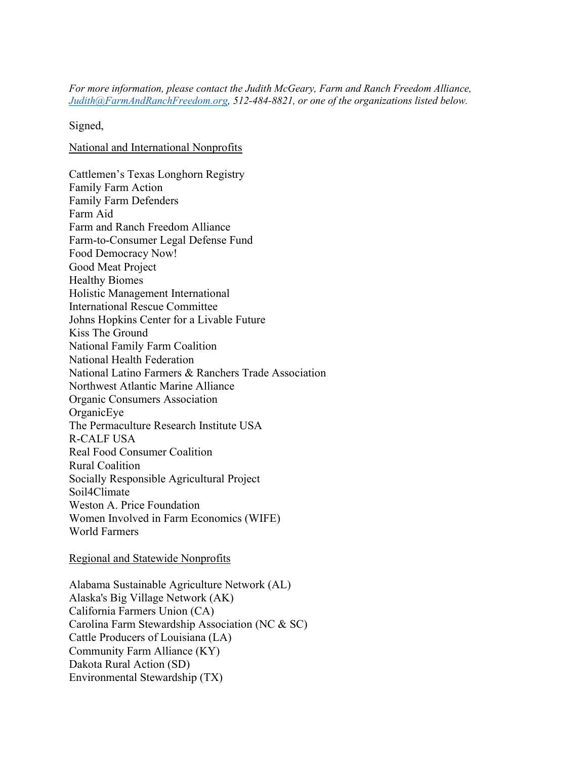For more information, please contact the Judith McGeary, Farm and Ranch Freedom Alliance, Judith@FarmAndRanchFreedom.org, 512-484-8821, or one of the organizations listed below.

Signed,

National and International Nonprofits

Cattlemen's Texas Longhorn Registry Family Farm Action Family Farm Defenders Farm Aid Farm and Ranch Freedom Alliance Farm-to-Consumer Legal Defense Fund Food Democracy Now! Good Meat Project Healthy Biomes Holistic Management International International Rescue Committee Johns Hopkins Center for a Livable Future Kiss The Ground National Family Farm Coalition National Health Federation National Latino Farmers & Ranchers Trade Association Northwest Atlantic Marine Alliance Organic Consumers Association OrganicEye The Permaculture Research Institute USA R-CALF USA Real Food Consumer Coalition Rural Coalition Socially Responsible Agricultural Project Soil4Climate Weston A. Price Foundation Women Involved in Farm Economics (WIFE) World Farmers

Regional and Statewide Nonprofits

Alabama Sustainable Agriculture Network (AL) Alaska's Big Village Network (AK) California Farmers Union (CA) Carolina Farm Stewardship Association (NC & SC) Cattle Producers of Louisiana (LA) Community Farm Alliance (KY) Dakota Rural Action (SD) Environmental Stewardship (TX)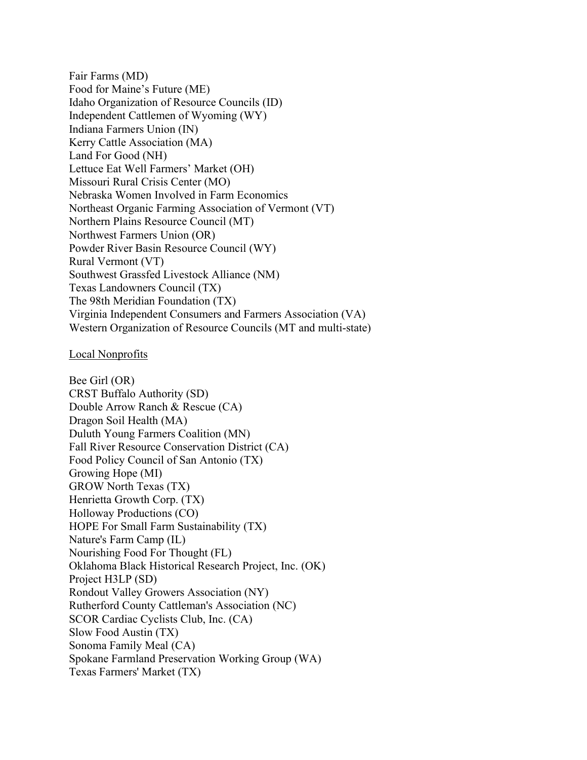Fair Farms (MD) Food for Maine's Future (ME) Idaho Organization of Resource Councils (ID) Independent Cattlemen of Wyoming (WY) Indiana Farmers Union (IN) Kerry Cattle Association (MA) Land For Good (NH) Lettuce Eat Well Farmers' Market (OH) Missouri Rural Crisis Center (MO) Nebraska Women Involved in Farm Economics Northeast Organic Farming Association of Vermont (VT) Northern Plains Resource Council (MT) Northwest Farmers Union (OR) Powder River Basin Resource Council (WY) Rural Vermont (VT) Southwest Grassfed Livestock Alliance (NM) Texas Landowners Council (TX) The 98th Meridian Foundation (TX) Virginia Independent Consumers and Farmers Association (VA) Western Organization of Resource Councils (MT and multi-state)

## Local Nonprofits

Bee Girl (OR) CRST Buffalo Authority (SD) Double Arrow Ranch & Rescue (CA) Dragon Soil Health (MA) Duluth Young Farmers Coalition (MN) Fall River Resource Conservation District (CA) Food Policy Council of San Antonio (TX) Growing Hope (MI) GROW North Texas (TX) Henrietta Growth Corp. (TX) Holloway Productions (CO) HOPE For Small Farm Sustainability (TX) Nature's Farm Camp (IL) Nourishing Food For Thought (FL) Oklahoma Black Historical Research Project, Inc. (OK) Project H3LP (SD) Rondout Valley Growers Association (NY) Rutherford County Cattleman's Association (NC) SCOR Cardiac Cyclists Club, Inc. (CA) Slow Food Austin (TX) Sonoma Family Meal (CA) Spokane Farmland Preservation Working Group (WA) Texas Farmers' Market (TX)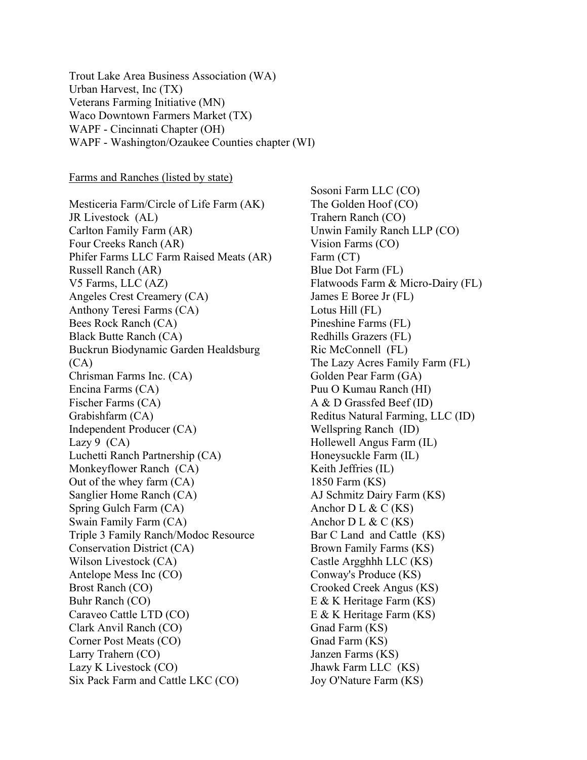Trout Lake Area Business Association (WA) Urban Harvest, Inc (TX) Veterans Farming Initiative (MN) Waco Downtown Farmers Market (TX) WAPF - Cincinnati Chapter (OH) WAPF - Washington/Ozaukee Counties chapter (WI)

Farms and Ranches (listed by state)

Mesticeria Farm/Circle of Life Farm (AK) JR Livestock (AL) Carlton Family Farm (AR) Four Creeks Ranch (AR) Phifer Farms LLC Farm Raised Meats (AR) Russell Ranch (AR) V5 Farms, LLC (AZ) Angeles Crest Creamery (CA) Anthony Teresi Farms (CA) Bees Rock Ranch (CA) Black Butte Ranch (CA) Buckrun Biodynamic Garden Healdsburg (CA) Chrisman Farms Inc. (CA) Encina Farms (CA) Fischer Farms (CA) Grabishfarm (CA) Independent Producer (CA) Lazy  $9$  (CA) Luchetti Ranch Partnership (CA) Monkeyflower Ranch (CA) Out of the whey farm (CA) Sanglier Home Ranch (CA) Spring Gulch Farm (CA) Swain Family Farm (CA) Triple 3 Family Ranch/Modoc Resource Conservation District (CA) Wilson Livestock (CA) Antelope Mess Inc (CO) Brost Ranch (CO) Buhr Ranch (CO) Caraveo Cattle LTD (CO) Clark Anvil Ranch (CO) Corner Post Meats (CO) Larry Trahern (CO) Lazy K Livestock (CO) Six Pack Farm and Cattle LKC (CO)

Sosoni Farm LLC (CO) The Golden Hoof (CO) Trahern Ranch (CO) Unwin Family Ranch LLP (CO) Vision Farms (CO) Farm (CT) Blue Dot Farm (FL) Flatwoods Farm & Micro-Dairy (FL) James E Boree Jr (FL) Lotus Hill (FL) Pineshine Farms (FL) Redhills Grazers (FL) Ric McConnell (FL) The Lazy Acres Family Farm (FL) Golden Pear Farm (GA) Puu O Kumau Ranch (HI) A & D Grassfed Beef (ID) Reditus Natural Farming, LLC (ID) Wellspring Ranch (ID) Hollewell Angus Farm (IL) Honeysuckle Farm (IL) Keith Jeffries (IL) 1850 Farm (KS) AJ Schmitz Dairy Farm (KS) Anchor  $D L & C (KS)$ Anchor  $D L & C (KS)$ Bar C Land and Cattle (KS) Brown Family Farms (KS) Castle Argghhh LLC (KS) Conway's Produce (KS) Crooked Creek Angus (KS) E & K Heritage Farm (KS) E & K Heritage Farm (KS) Gnad Farm (KS) Gnad Farm (KS) Janzen Farms (KS) Jhawk Farm LLC (KS) Joy O'Nature Farm (KS)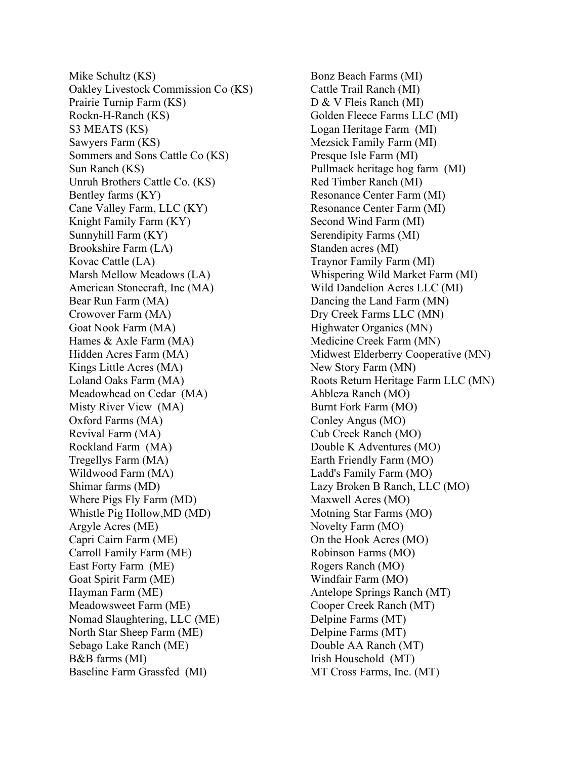Mike Schultz (KS) Oakley Livestock Commission Co (KS) Prairie Turnip Farm (KS) Rockn-H-Ranch (KS) S3 MEATS (KS) Sawyers Farm (KS) Sommers and Sons Cattle Co (KS) Sun Ranch (KS) Unruh Brothers Cattle Co. (KS) Bentley farms (KY) Cane Valley Farm, LLC (KY) Knight Family Farm (KY) Sunnyhill Farm (KY) Brookshire Farm (LA) Kovac Cattle (LA) Marsh Mellow Meadows (LA) American Stonecraft, Inc (MA) Bear Run Farm (MA) Crowover Farm (MA) Goat Nook Farm (MA) Hames & Axle Farm (MA) Hidden Acres Farm (MA) Kings Little Acres (MA) Loland Oaks Farm (MA) Meadowhead on Cedar (MA) Misty River View (MA) Oxford Farms (MA) Revival Farm (MA) Rockland Farm (MA) Tregellys Farm (MA) Wildwood Farm (MA) Shimar farms (MD) Where Pigs Fly Farm (MD) Whistle Pig Hollow,MD (MD) Argyle Acres (ME) Capri Cairn Farm (ME) Carroll Family Farm (ME) East Forty Farm (ME) Goat Spirit Farm (ME) Hayman Farm (ME) Meadowsweet Farm (ME) Nomad Slaughtering, LLC (ME) North Star Sheep Farm (ME) Sebago Lake Ranch (ME) B&B farms (MI) Baseline Farm Grassfed (MI)

Bonz Beach Farms (MI) Cattle Trail Ranch (MI) D & V Fleis Ranch (MI) Golden Fleece Farms LLC (MI) Logan Heritage Farm (MI) Mezsick Family Farm (MI) Presque Isle Farm (MI) Pullmack heritage hog farm (MI) Red Timber Ranch (MI) Resonance Center Farm (MI) Resonance Center Farm (MI) Second Wind Farm (MI) Serendipity Farms (MI) Standen acres (MI) Traynor Family Farm (MI) Whispering Wild Market Farm (MI) Wild Dandelion Acres LLC (MI) Dancing the Land Farm (MN) Dry Creek Farms LLC (MN) Highwater Organics (MN) Medicine Creek Farm (MN) Midwest Elderberry Cooperative (MN) New Story Farm (MN) Roots Return Heritage Farm LLC (MN) Ahbleza Ranch (MO) Burnt Fork Farm (MO) Conley Angus (MO) Cub Creek Ranch (MO) Double K Adventures (MO) Earth Friendly Farm (MO) Ladd's Family Farm (MO) Lazy Broken B Ranch, LLC (MO) Maxwell Acres (MO) Motning Star Farms (MO) Novelty Farm (MO) On the Hook Acres (MO) Robinson Farms (MO) Rogers Ranch (MO) Windfair Farm (MO) Antelope Springs Ranch (MT) Cooper Creek Ranch (MT) Delpine Farms (MT) Delpine Farms (MT) Double AA Ranch (MT) Irish Household (MT) MT Cross Farms, Inc. (MT)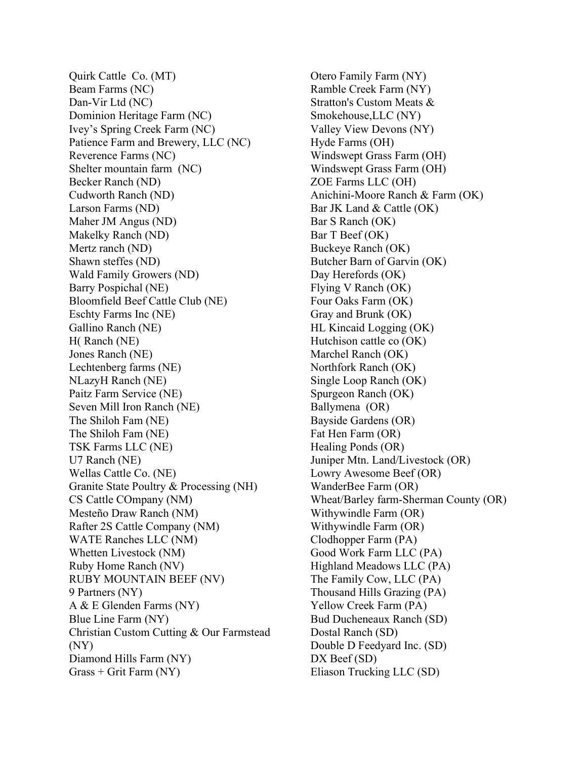Quirk Cattle Co. (MT) Beam Farms (NC) Dan-Vir Ltd (NC) Dominion Heritage Farm (NC) Ivey's Spring Creek Farm (NC) Patience Farm and Brewery, LLC (NC) Reverence Farms (NC) Shelter mountain farm (NC) Becker Ranch (ND) Cudworth Ranch (ND) Larson Farms (ND) Maher JM Angus (ND) Makelky Ranch (ND) Mertz ranch (ND) Shawn steffes (ND) Wald Family Growers (ND) Barry Pospichal (NE) Bloomfield Beef Cattle Club (NE) Eschty Farms Inc (NE) Gallino Ranch (NE) H( Ranch (NE) Jones Ranch (NE) Lechtenberg farms (NE) NLazyH Ranch (NE) Paitz Farm Service (NE) Seven Mill Iron Ranch (NE) The Shiloh Fam (NE) The Shiloh Fam (NE) TSK Farms LLC (NE) U7 Ranch (NE) Wellas Cattle Co. (NE) Granite State Poultry & Processing (NH) CS Cattle COmpany (NM) Mesteño Draw Ranch (NM) Rafter 2S Cattle Company (NM) WATE Ranches LLC (NM) Whetten Livestock (NM) Ruby Home Ranch (NV) RUBY MOUNTAIN BEEF (NV) 9 Partners (NY) A & E Glenden Farms (NY) Blue Line Farm (NY) Christian Custom Cutting & Our Farmstead (NY) Diamond Hills Farm (NY) Grass + Grit Farm (NY)

Otero Family Farm (NY) Ramble Creek Farm (NY) Stratton's Custom Meats & Smokehouse,LLC (NY) Valley View Devons (NY) Hyde Farms (OH) Windswept Grass Farm (OH) Windswept Grass Farm (OH) ZOE Farms LLC (OH) Anichini-Moore Ranch & Farm (OK) Bar JK Land & Cattle (OK) Bar S Ranch (OK) Bar T Beef (OK) Buckeye Ranch (OK) Butcher Barn of Garvin (OK) Day Herefords (OK) Flying V Ranch (OK) Four Oaks Farm (OK) Gray and Brunk (OK) HL Kincaid Logging (OK) Hutchison cattle co (OK) Marchel Ranch (OK) Northfork Ranch (OK) Single Loop Ranch (OK) Spurgeon Ranch (OK) Ballymena (OR) Bayside Gardens (OR) Fat Hen Farm (OR) Healing Ponds (OR) Juniper Mtn. Land/Livestock (OR) Lowry Awesome Beef (OR) WanderBee Farm (OR) Wheat/Barley farm-Sherman County (OR) Withywindle Farm (OR) Withywindle Farm (OR) Clodhopper Farm (PA) Good Work Farm LLC (PA) Highland Meadows LLC (PA) The Family Cow, LLC (PA) Thousand Hills Grazing (PA) Yellow Creek Farm (PA) Bud Ducheneaux Ranch (SD) Dostal Ranch (SD) Double D Feedyard Inc. (SD) DX Beef (SD) Eliason Trucking LLC (SD)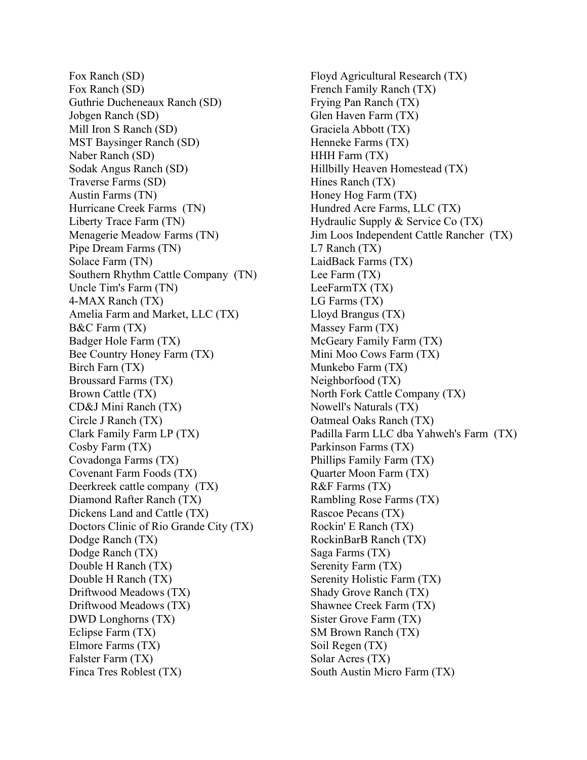Fox Ranch (SD) Fox Ranch (SD) Guthrie Ducheneaux Ranch (SD) Jobgen Ranch (SD) Mill Iron S Ranch (SD) MST Baysinger Ranch (SD) Naber Ranch (SD) Sodak Angus Ranch (SD) Traverse Farms (SD) Austin Farms (TN) Hurricane Creek Farms (TN) Liberty Trace Farm (TN) Menagerie Meadow Farms (TN) Pipe Dream Farms (TN) Solace Farm (TN) Southern Rhythm Cattle Company (TN) Uncle Tim's Farm (TN) 4-MAX Ranch (TX) Amelia Farm and Market, LLC (TX) B&C Farm (TX) Badger Hole Farm (TX) Bee Country Honey Farm (TX) Birch Farn (TX) Broussard Farms (TX) Brown Cattle (TX) CD&J Mini Ranch (TX) Circle J Ranch (TX) Clark Family Farm LP (TX) Cosby Farm (TX) Covadonga Farms (TX) Covenant Farm Foods (TX) Deerkreek cattle company (TX) Diamond Rafter Ranch (TX) Dickens Land and Cattle (TX) Doctors Clinic of Rio Grande City (TX) Dodge Ranch (TX) Dodge Ranch (TX) Double H Ranch (TX) Double H Ranch (TX) Driftwood Meadows (TX) Driftwood Meadows (TX) DWD Longhorns (TX) Eclipse Farm (TX) Elmore Farms (TX) Falster Farm (TX) Finca Tres Roblest (TX)

Floyd Agricultural Research (TX) French Family Ranch (TX) Frying Pan Ranch (TX) Glen Haven Farm (TX) Graciela Abbott (TX) Henneke Farms (TX) HHH Farm (TX) Hillbilly Heaven Homestead (TX) Hines Ranch (TX) Honey Hog Farm (TX) Hundred Acre Farms, LLC (TX) Hydraulic Supply & Service Co (TX) Jim Loos Independent Cattle Rancher (TX) L7 Ranch (TX) LaidBack Farms (TX) Lee Farm (TX) LeeFarmTX (TX) LG Farms (TX) Lloyd Brangus (TX) Massey Farm (TX) McGeary Family Farm (TX) Mini Moo Cows Farm (TX) Munkebo Farm (TX) Neighborfood (TX) North Fork Cattle Company (TX) Nowell's Naturals (TX) Oatmeal Oaks Ranch (TX) Padilla Farm LLC dba Yahweh's Farm (TX) Parkinson Farms (TX) Phillips Family Farm (TX) Quarter Moon Farm (TX) R&F Farms (TX) Rambling Rose Farms (TX) Rascoe Pecans (TX) Rockin' E Ranch (TX) RockinBarB Ranch (TX) Saga Farms (TX) Serenity Farm (TX) Serenity Holistic Farm (TX) Shady Grove Ranch (TX) Shawnee Creek Farm (TX) Sister Grove Farm (TX) SM Brown Ranch (TX) Soil Regen (TX) Solar Acres (TX) South Austin Micro Farm (TX)